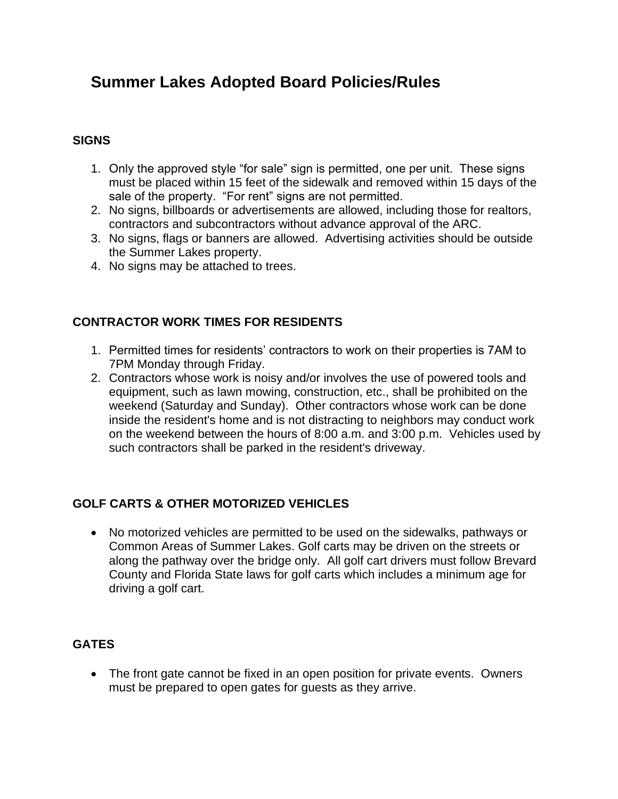# **Summer Lakes Adopted Board Policies/Rules**

## **SIGNS**

- 1. Only the approved style "for sale" sign is permitted, one per unit. These signs must be placed within 15 feet of the sidewalk and removed within 15 days of the sale of the property. "For rent" signs are not permitted.
- 2. No signs, billboards or advertisements are allowed, including those for realtors, contractors and subcontractors without advance approval of the ARC.
- 3. No signs, flags or banners are allowed. Advertising activities should be outside the Summer Lakes property.
- 4. No signs may be attached to trees.

## **CONTRACTOR WORK TIMES FOR RESIDENTS**

- 1. Permitted times for residents' contractors to work on their properties is 7AM to 7PM Monday through Friday.
- 2. Contractors whose work is noisy and/or involves the use of powered tools and equipment, such as lawn mowing, construction, etc., shall be prohibited on the weekend (Saturday and Sunday). Other contractors whose work can be done inside the resident's home and is not distracting to neighbors may conduct work on the weekend between the hours of 8:00 a.m. and 3:00 p.m. Vehicles used by such contractors shall be parked in the resident's driveway.

### **GOLF CARTS & OTHER MOTORIZED VEHICLES**

• No motorized vehicles are permitted to be used on the sidewalks, pathways or Common Areas of Summer Lakes. Golf carts may be driven on the streets or along the pathway over the bridge only. All golf cart drivers must follow Brevard County and Florida State laws for golf carts which includes a minimum age for driving a golf cart.

### **GATES**

• The front gate cannot be fixed in an open position for private events. Owners must be prepared to open gates for guests as they arrive.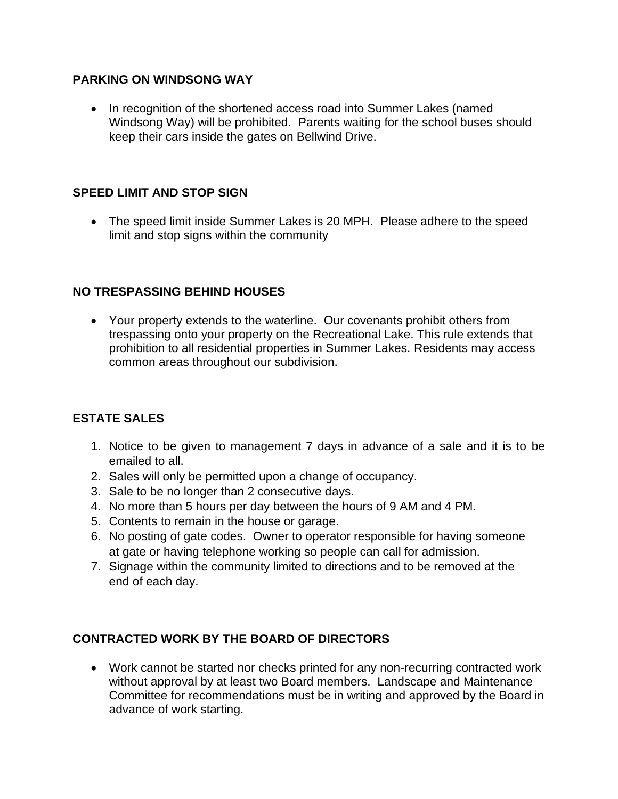#### **PARKING ON WINDSONG WAY**

• In recognition of the shortened access road into Summer Lakes (named Windsong Way) will be prohibited. Parents waiting for the school buses should keep their cars inside the gates on Bellwind Drive.

### **SPEED LIMIT AND STOP SIGN**

• The speed limit inside Summer Lakes is 20 MPH. Please adhere to the speed limit and stop signs within the community

### **NO TRESPASSING BEHIND HOUSES**

• Your property extends to the waterline. Our covenants prohibit others from trespassing onto your property on the Recreational Lake. This rule extends that prohibition to all residential properties in Summer Lakes. Residents may access common areas throughout our subdivision.

### **ESTATE SALES**

- 1. Notice to be given to management 7 days in advance of a sale and it is to be emailed to all.
- 2. Sales will only be permitted upon a change of occupancy.
- 3. Sale to be no longer than 2 consecutive days.
- 4. No more than 5 hours per day between the hours of 9 AM and 4 PM.
- 5. Contents to remain in the house or garage.
- 6. No posting of gate codes. Owner to operator responsible for having someone at gate or having telephone working so people can call for admission.
- 7. Signage within the community limited to directions and to be removed at the end of each day.

# **CONTRACTED WORK BY THE BOARD OF DIRECTORS**

• Work cannot be started nor checks printed for any non-recurring contracted work without approval by at least two Board members. Landscape and Maintenance Committee for recommendations must be in writing and approved by the Board in advance of work starting.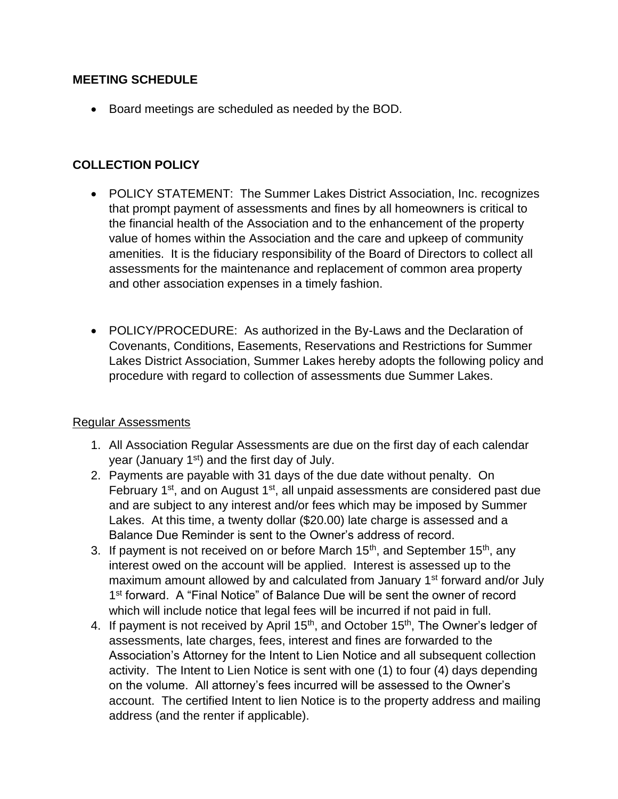#### **MEETING SCHEDULE**

• Board meetings are scheduled as needed by the BOD.

## **COLLECTION POLICY**

- POLICY STATEMENT: The Summer Lakes District Association, Inc. recognizes that prompt payment of assessments and fines by all homeowners is critical to the financial health of the Association and to the enhancement of the property value of homes within the Association and the care and upkeep of community amenities. It is the fiduciary responsibility of the Board of Directors to collect all assessments for the maintenance and replacement of common area property and other association expenses in a timely fashion.
- POLICY/PROCEDURE: As authorized in the By-Laws and the Declaration of Covenants, Conditions, Easements, Reservations and Restrictions for Summer Lakes District Association, Summer Lakes hereby adopts the following policy and procedure with regard to collection of assessments due Summer Lakes.

#### Regular Assessments

- 1. All Association Regular Assessments are due on the first day of each calendar year (January 1<sup>st</sup>) and the first day of July.
- 2. Payments are payable with 31 days of the due date without penalty. On February 1<sup>st</sup>, and on August 1<sup>st</sup>, all unpaid assessments are considered past due and are subject to any interest and/or fees which may be imposed by Summer Lakes. At this time, a twenty dollar (\$20.00) late charge is assessed and a Balance Due Reminder is sent to the Owner's address of record.
- 3. If payment is not received on or before March  $15<sup>th</sup>$ , and September  $15<sup>th</sup>$ , any interest owed on the account will be applied. Interest is assessed up to the maximum amount allowed by and calculated from January 1<sup>st</sup> forward and/or July 1<sup>st</sup> forward. A "Final Notice" of Balance Due will be sent the owner of record which will include notice that legal fees will be incurred if not paid in full.
- 4. If payment is not received by April 15<sup>th</sup>, and October 15<sup>th</sup>, The Owner's ledger of assessments, late charges, fees, interest and fines are forwarded to the Association's Attorney for the Intent to Lien Notice and all subsequent collection activity. The Intent to Lien Notice is sent with one (1) to four (4) days depending on the volume. All attorney's fees incurred will be assessed to the Owner's account. The certified Intent to lien Notice is to the property address and mailing address (and the renter if applicable).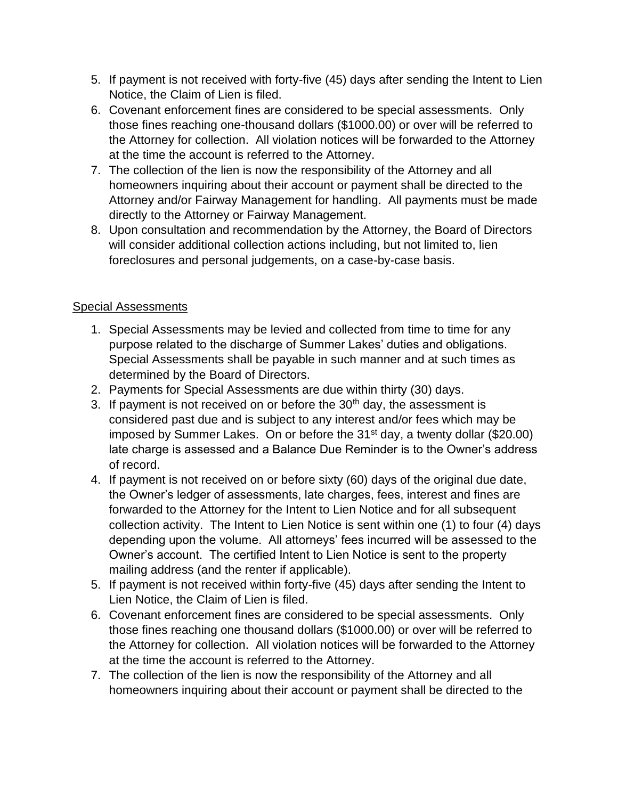- 5. If payment is not received with forty-five (45) days after sending the Intent to Lien Notice, the Claim of Lien is filed.
- 6. Covenant enforcement fines are considered to be special assessments. Only those fines reaching one-thousand dollars (\$1000.00) or over will be referred to the Attorney for collection. All violation notices will be forwarded to the Attorney at the time the account is referred to the Attorney.
- 7. The collection of the lien is now the responsibility of the Attorney and all homeowners inquiring about their account or payment shall be directed to the Attorney and/or Fairway Management for handling. All payments must be made directly to the Attorney or Fairway Management.
- 8. Upon consultation and recommendation by the Attorney, the Board of Directors will consider additional collection actions including, but not limited to, lien foreclosures and personal judgements, on a case-by-case basis.

### Special Assessments

- 1. Special Assessments may be levied and collected from time to time for any purpose related to the discharge of Summer Lakes' duties and obligations. Special Assessments shall be payable in such manner and at such times as determined by the Board of Directors.
- 2. Payments for Special Assessments are due within thirty (30) days.
- 3. If payment is not received on or before the  $30<sup>th</sup>$  day, the assessment is considered past due and is subject to any interest and/or fees which may be imposed by Summer Lakes. On or before the  $31<sup>st</sup>$  day, a twenty dollar (\$20.00) late charge is assessed and a Balance Due Reminder is to the Owner's address of record.
- 4. If payment is not received on or before sixty (60) days of the original due date, the Owner's ledger of assessments, late charges, fees, interest and fines are forwarded to the Attorney for the Intent to Lien Notice and for all subsequent collection activity. The Intent to Lien Notice is sent within one (1) to four (4) days depending upon the volume. All attorneys' fees incurred will be assessed to the Owner's account. The certified Intent to Lien Notice is sent to the property mailing address (and the renter if applicable).
- 5. If payment is not received within forty-five (45) days after sending the Intent to Lien Notice, the Claim of Lien is filed.
- 6. Covenant enforcement fines are considered to be special assessments. Only those fines reaching one thousand dollars (\$1000.00) or over will be referred to the Attorney for collection. All violation notices will be forwarded to the Attorney at the time the account is referred to the Attorney.
- 7. The collection of the lien is now the responsibility of the Attorney and all homeowners inquiring about their account or payment shall be directed to the